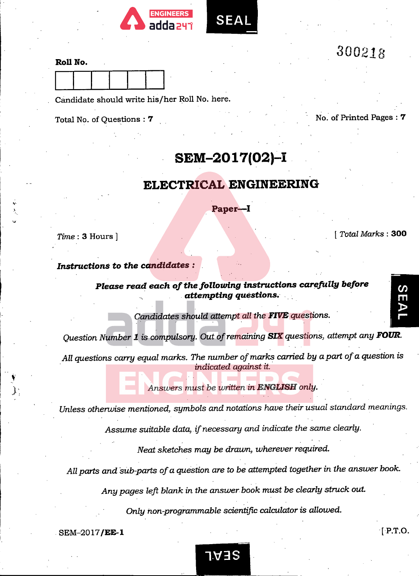

| r<br>1 |  |  |
|--------|--|--|
|        |  |  |
|        |  |  |

## RoU No.

Candidate should write his/her Roll No. here.

Total No. of Questions : 7 No. of Printed Pages : 7

300218

## SEM-2017(02)-I

## ELECTRICAL ENGINEERING

Paper—

Time : 3 Hours ]

[ Total Marks : 300

SEAI

Instructions to the candidates :

Please read each of the following instructions carefully before attempting questions.

Candidates should attempt all the FIVE questions.

Question Number 1 is compulsory. Out of remaining SIX questions, attempt any FOUR.

All questions carry equal marks. The number of marks carried by a part of a question is indicated against it.

Answers must be written in ENGLISH only.

Unless otherwise mentioned, symbols and notations have their usual standard meanings.

Assume suitable data, if necessary and indicate the same clearly.

Neat sketches may be drawn, wherever required.

All parts and sub-parts of a question are to be attempted together in the answer book.

Any pages left blank in the answer book must be clearly struck out.

Only non-programmable scientific calculator is allowed.

SEM-2017**/EE-1** [P.T.O.]

**JAJS**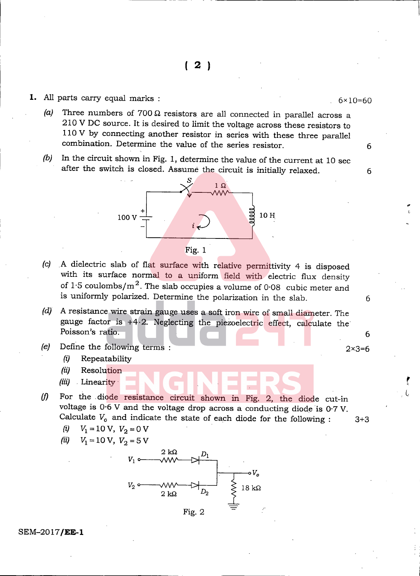## **1.** All parts carry equal marks  $\cdot$  6x10=60

- (a) Three numbers of  $700\Omega$  resistors are all connected in parallel across a 210 V DC source. It is desired to limit the voltage across these resistors to 110 V by connecting another resistor in series with these three parallel combination. Determine the value of the series resistor.
- (b) In the circuit shown in Fig. 1, determine the value of the current at 10 sec after the switch is closed. Assume the circuit is initially relaxed.



- (c) A dielectric slab of flat surface with relative permittivity 4 is disposed with its surface normal to a uniform field with electric flux density of 1.5 coulombs/ $m^2$ . The slab occupies a volume of 0.08 cubic meter and is uniformly polarized. Determine the polarization in the slab.
- (d) A resistance wire strain gauge uses a soft iron wire of small diameter. The gauge factor is  $+4.2$ . Neglecting the piezoelectric effect, calculate the Poisson's ratio.
- (e) Define the following terms :  $2 \times 3=6$ 
	- (i) Repeatability
	- (*ii*) Resolution
	- (iii) Linearity
- (f) For the diode resistance circuit shown in Fig. 2, the diode cut-in voltage is  $0.\overline{6}$  V and the voltage drop across a conducting diode is 0.7 V. Calculate  $V_0$  and indicate the state of each diode for the following : 3+3
	- (i)  $V_1 = 10 \text{ V}, V_2 = 0 \text{ V}$
	- (ii)  $V_1 = 10 \text{ V}, V_2 = 5 \text{ V}$



SEM-2017/EE-1

6

6

6

6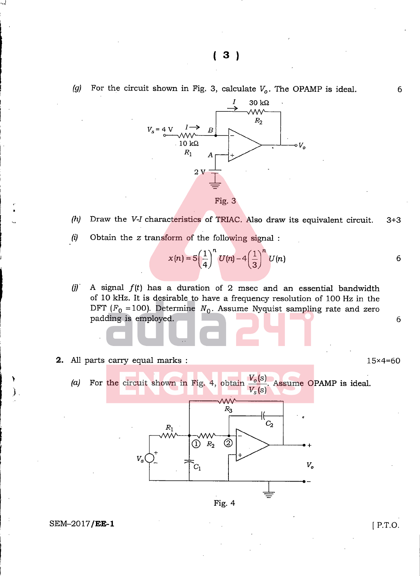(g) For the circuit shown in Fig. 3, calculate  $V_o$ . The OPAMP is ideal.



- $(h)$  Draw the V-I characteristics of TRIAC. Also draw its equivalent circuit. 3+3
- $(i)$  Obtain the z transform of the following signal :

$$
x(n) = 5\left(\frac{1}{4}\right)^n U(n) - 4\left(\frac{1}{3}\right)^n U(n)
$$
6

- (j) A signal  $f(t)$  has a duration of 2 msec and an essential bandwidth of 10 kHz. It is desirable to have a frequency resolution of 100 Hz in the DFT  $(F_0 = 100)$ . Determine  $N_0$ . Assume Nyquist sampling rate and zero padding is employed.
- 2. All parts carry equal marks : 15x4=60
	- (a) For the circuit shown in Fig. 4, obtain  $\frac{V_o(S)}{R}$ . Assume OPAMP is ideal.



SEM-2017**/EE-1** [ P.T.O.

6

6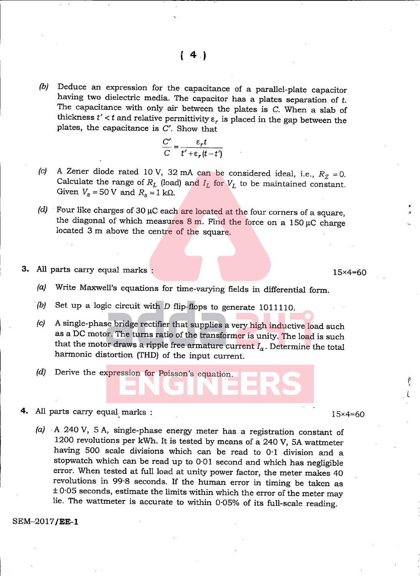(b) Deduce an expression for the capacitance of a parallel-plate capacitor having two dielectric media. The capacitor has a plates separation of t The capacitance with only air between the plates is C. When a slab of thickness  $t' < t$  and relative permittivity  $\varepsilon_r$  is placed in the gap between the plates, the capacitance is  $C'$ . Show that

$$
\frac{C'}{C} = \frac{\varepsilon_r t}{t' + \varepsilon_r (t - t')}
$$

- (c) A Zener diode rated 10 V, 32 mA can be considered ideal, i.e.,  $R_Z = 0$ . Calculate the range of  $R_L$  (load) and  $I_L$  for  $V_L$  to be maintained constant. Given  $V_s = 50$  V and  $R_s = 1$  k $\Omega$ .
- (d) Four like charges of 30  $\mu$ C each are located at the four corners of a square, the diagonal of which measures  $8 \text{ m}$ . Find the force on a 150 µC charge located 3 m above the centre of the square.
- 3. All parts carry equal marks : 15x4=60

- (a) Write Maxwell's equations for time-varying fields in differential form.
- (b) Set up a logic circuit with D flip-flops to generate 1011110.
- (c) A single-phase bridge rectifier that supplies a very high inductive load such as a DC motor. The turns ratio of the transformer is unity. The load is such that the motor draws a ripple free armature current  $I_a$ . Determine the total harmonic distortion (THD) of the input current.
- (d) Derive the expression for Poisson's equation.
- All parts carry equal marks : 15x4=60

f L

(a) A 240 V, 5 A, single-phase energy meter has a registration constant of 1200 revolutions per kWh. It is tested by means of a 240 V, 5A wattmeter having 500 scale divisions which can be read to 0-1 division and a stopwatch which can be read up to 0-01 second and which has negligible error. When tested at full load at unify power factor, the meter makes 40 revolutions in 99-8 seconds. If the human error in timing be taken as  $\pm$  0.05 seconds, estimate the limits within which the error of the meter may lie. The wattmeter is accurate to within 0-05% of its full-scale reading.

SEM-2017/EE-1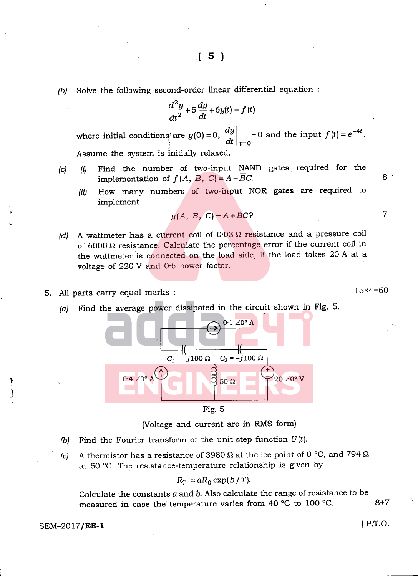(b) Solve the following second-order linear differential equation :<br> $\frac{d^2y}{dt^2} + 5\frac{dy}{dt} + 6y(t) = f(t)$ 

$$
\frac{d^2y}{dt^2} + 5\frac{dy}{dt} + 6y(t) = f(t)
$$

where initial conditions are  $y(0) = 0$ ,  $\frac{dy}{dt}\bigg|_{t=0} = 0$  and the input  $f(t) = e^{-4t}$ Assume the system is initially relaxed.

- (C)  $(i)$  Find the number of two-input NAND gates required for the implementation of  $f(A, B, C) = A + \overline{BC}$ .
	- (ii) How many numbers of two-input NOR gates are required to implement

$$
g(A, B, C) = A + BC
$$
?

- $(d)$ A wattmeter has a current coil of  $0.03 \Omega$  resistance and a pressure coil of 6000  $\Omega$  resistance. Calculate the percentage error if the current coil in the wattmeter is connected on the load side, if the load takes 20 A at a voltage of 220 V and 0-6 power factor.
- 5. All parts carry equal marks :
	- (a) Find the average power dissipated in the circuit shown in Fig. 5.





(Voltage and current are in RMS form)

- (b) Find the Fourier transform of the unit-step function  $U(t)$ .
- (c) A thermistor has a resistance of 3980  $\Omega$  at the ice point of 0 °C, and 794  $\Omega$ at 50 °C. The resistance-temperature relationship is given by

$$
R_T = aR_0 \exp(b/T).
$$

Calculate the constants  $a$  and  $b$ . Also calculate the range of resistance to be measured in case the temperature varies from 40 °C to 100 °C. 8+7

SEM-2017**/EE-1** [ P.T.O.

15x4=60

8

 $\overline{7}$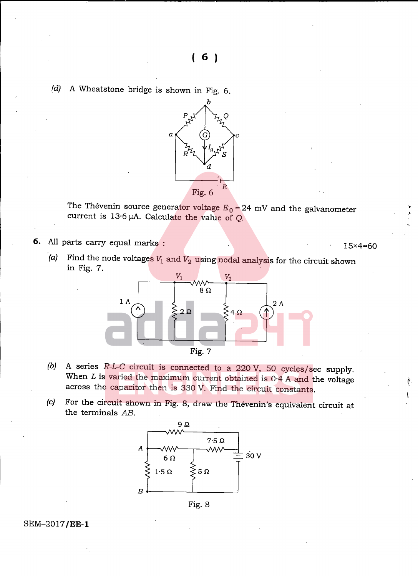(d) A Wheatstone bridge is shown in Fig. 6.



The Thevenin source generator voltage  $E_0 = 24$  mV and the galvanometer current is  $13.6 \mu A$ . Calculate the value of Q.

6. All parts carry equal marks :

15x4=60

Ç. ι

(a) Find the node voltages  $V_1$  and  $V_2$  using nodal analysis for the circuit shown in Fig. 7.



- (b) A series  $R-L-C$  circuit is connected to a 220 V, 50 cycles/sec supply. When  $L$  is varied the maximum current obtained is  $0.4$  A and the voltage across the capacitor then is 330 V. Find the circuit constants.
- (c) For the circuit shown in Fig. 8, draw the Thevenin's equivalent circuit at the terminals AB.



SEM-2017/EE-1